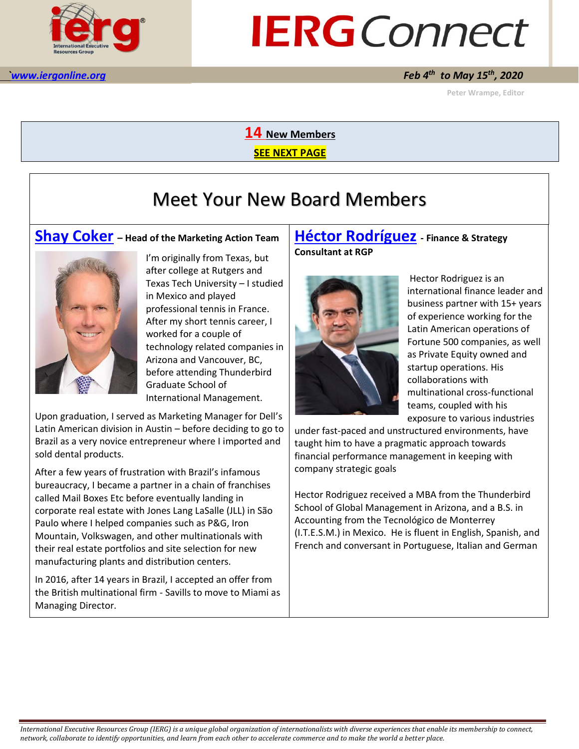

# **IERG** Connect

#### *to May 15th, 2020*

 **Peter Wrampe, Editor** 

**14 New Members**

**SEE NEXT PAGE**

# Meet Your New Board Members

#### **[Shay Coker](mailto:scoker@savills.us) – Head of the Marketing Action Team**



I'm originally from Texas, but after college at Rutgers and Texas Tech University – I studied in Mexico and played professional tennis in France. After my short tennis career, I worked for a couple of technology related companies in Arizona and Vancouver, BC, before attending Thunderbird Graduate School of International Management.

Upon graduation, I served as Marketing Manager for Dell's Latin American division in Austin – before deciding to go to Brazil as a very novice entrepreneur where I imported and sold dental products.

After a few years of frustration with Brazil's infamous bureaucracy, I became a partner in a chain of franchises called Mail Boxes Etc before eventually landing in corporate real estate with Jones Lang LaSalle (JLL) in São Paulo where I helped companies such as P&G, Iron Mountain, Volkswagen, and other multinationals with their real estate portfolios and site selection for new manufacturing plants and distribution centers.

In 2016, after 14 years in Brazil, I accepted an offer from the British multinational firm - Savills to move to Miami as Managing Director.

#### **[Héctor Rodríguez](mailto:heroga@icloud.com) - Finance & Strategy Consultant at RGP**



Hector Rodriguez is an international finance leader and business partner with 15+ years of experience working for the Latin American operations of Fortune 500 companies, as well as Private Equity owned and startup operations. His collaborations with multinational cross-functional teams, coupled with his exposure to various industries

under fast-paced and unstructured environments, have taught him to have a pragmatic approach towards financial performance management in keeping with company strategic goals

Hector Rodriguez received a MBA from the Thunderbird School of Global Management in Arizona, and a B.S. in Accounting from the Tecnológico de Monterrey (I.T.E.S.M.) in Mexico. He is fluent in English, Spanish, and French and conversant in Portuguese, Italian and German

*International Executive Resources Group (IERG) is a unique global organization of internationalists with diverse experiences that enable its membership to connect, network, collaborate to identify opportunities, and learn from each other to accelerate commerce and to make the world a better place.*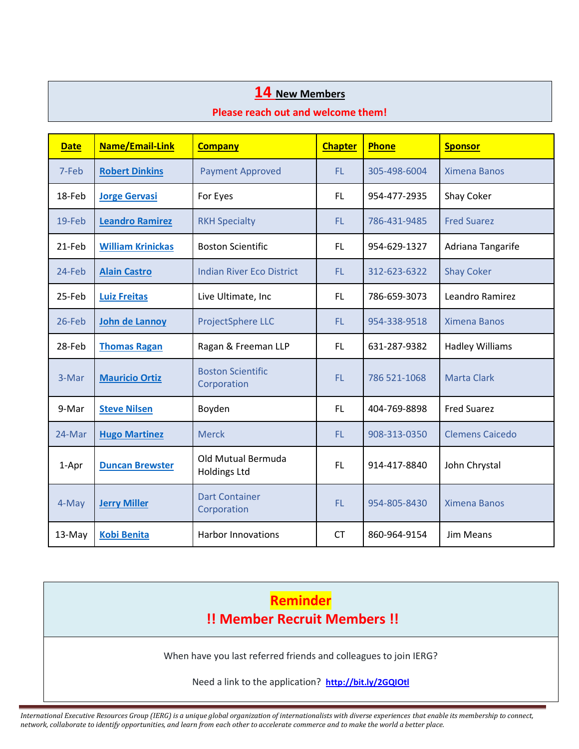#### **14 New Members**

#### **Please reach out and welcome them!**

| <b>Date</b> | Name/Email-Link          | <b>Company</b>                            | <b>Chapter</b> | <b>Phone</b> | <b>Sponsor</b>         |
|-------------|--------------------------|-------------------------------------------|----------------|--------------|------------------------|
| 7-Feb       | <b>Robert Dinkins</b>    | <b>Payment Approved</b>                   | FL.            | 305-498-6004 | <b>Ximena Banos</b>    |
| 18-Feb      | <b>Jorge Gervasi</b>     | For Eyes                                  | FL.            | 954-477-2935 | Shay Coker             |
| $19$ -Feb   | <b>Leandro Ramirez</b>   | <b>RKH Specialty</b>                      | FL.            | 786-431-9485 | <b>Fred Suarez</b>     |
| 21-Feb      | <b>William Krinickas</b> | <b>Boston Scientific</b>                  | FL.            | 954-629-1327 | Adriana Tangarife      |
| 24-Feb      | <b>Alain Castro</b>      | <b>Indian River Eco District</b>          | FL.            | 312-623-6322 | <b>Shay Coker</b>      |
| 25-Feb      | <b>Luiz Freitas</b>      | Live Ultimate, Inc                        | <b>FL</b>      | 786-659-3073 | Leandro Ramirez        |
| 26-Feb      | <b>John de Lannoy</b>    | ProjectSphere LLC                         | FL.            | 954-338-9518 | <b>Ximena Banos</b>    |
| 28-Feb      | <b>Thomas Ragan</b>      | Ragan & Freeman LLP                       | FL.            | 631-287-9382 | <b>Hadley Williams</b> |
| 3-Mar       | <b>Mauricio Ortiz</b>    | <b>Boston Scientific</b><br>Corporation   | FL.            | 786 521-1068 | <b>Marta Clark</b>     |
| 9-Mar       | <b>Steve Nilsen</b>      | Boyden                                    | FL.            | 404-769-8898 | <b>Fred Suarez</b>     |
| 24-Mar      | <b>Hugo Martinez</b>     | <b>Merck</b>                              | FL.            | 908-313-0350 | <b>Clemens Caicedo</b> |
| 1-Apr       | <b>Duncan Brewster</b>   | Old Mutual Bermuda<br><b>Holdings Ltd</b> | <b>FL</b>      | 914-417-8840 | John Chrystal          |
| 4-May       | <b>Jerry Miller</b>      | <b>Dart Container</b><br>Corporation      | FL.            | 954-805-8430 | <b>Ximena Banos</b>    |
| 13-May      | <b>Kobi Benita</b>       | Harbor Innovations                        | <b>CT</b>      | 860-964-9154 | <b>Jim Means</b>       |



*International Executive Resources Group (IERG) is a unique global organization of internationalists with diverse experiences that enable its membership to connect, network, collaborate to identify opportunities, and learn from each other to accelerate commerce and to make the world a better place.*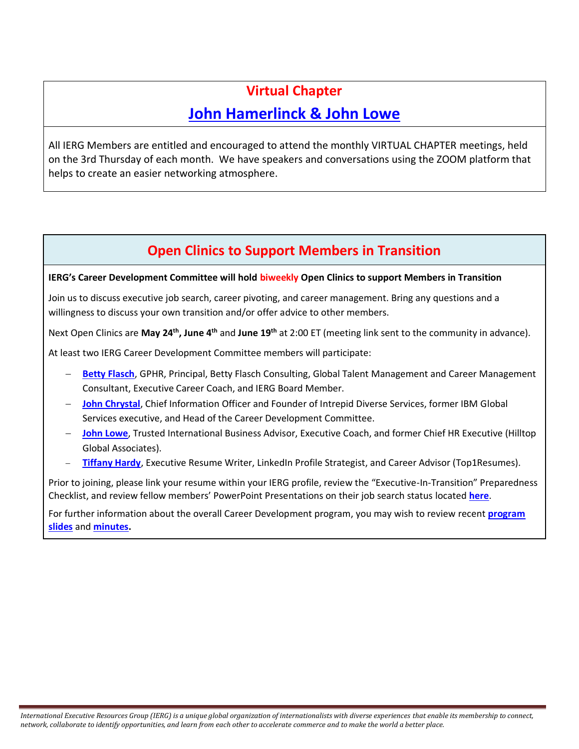## **Virtual Chapter [John Hamerlinck](mailto:john@wescat.us) & [John Lowe](mailto:johnlowe@hilltopglobal.com)**

All IERG Members are entitled and encouraged to attend the monthly VIRTUAL CHAPTER meetings, held on the 3rd Thursday of each month. We have speakers and conversations using the ZOOM platform that helps to create an easier networking atmosphere.

## **Open Clinics to Support Members in Transition**

**IERG's Career Development Committee will hold biweekly Open Clinics to support Members in Transition**

Join us to discuss executive job search, career pivoting, and career management. Bring any questions and a willingness to discuss your own transition and/or offer advice to other members.

Next Open Clinics are May 24<sup>th</sup>, June 4<sup>th</sup> and June 19<sup>th</sup> at 2:00 ET (meeting link sent to the community in advance).

At least two IERG Career Development Committee members will participate:

- − **[Betty Flasch](mailto:flasch.betty@gmail.com)**, GPHR, Principal, Betty Flasch Consulting, Global Talent Management and Career Management Consultant, Executive Career Coach, and IERG Board Member.
- − **[John Chrystal](mailto:JChrystal@msn.com)**, Chief Information Officer and Founder of Intrepid Diverse Services, former IBM Global Services executive, and Head of the Career Development Committee.
- − **[John Lowe](mailto:johnlowe@hilltopglobal.com)**, Trusted International Business Advisor, Executive Coach, and former Chief HR Executive (Hilltop Global Associates).
- − **[Tiffany Hardy](mailto:tiffanyhardy@top1resumes.com)**, Executive Resume Writer, LinkedIn Profile Strategist, and Career Advisor (Top1Resumes).

Prior to joining, please link your resume within your IERG profile, review the "Executive-In-Transition" Preparedness Checklist, and review fellow members' PowerPoint Presentations on their job search status located **[here](https://ierg.memberclicks.net/career-transition-support)**.

For further information about the overall Career Development program, you may wish to review recent **[program](https://ierg.memberclicks.net/program-presentations)  [slides](https://ierg.memberclicks.net/program-presentations)** and **[minutes.](https://ierg.memberclicks.net/program-meeting-minutes)**